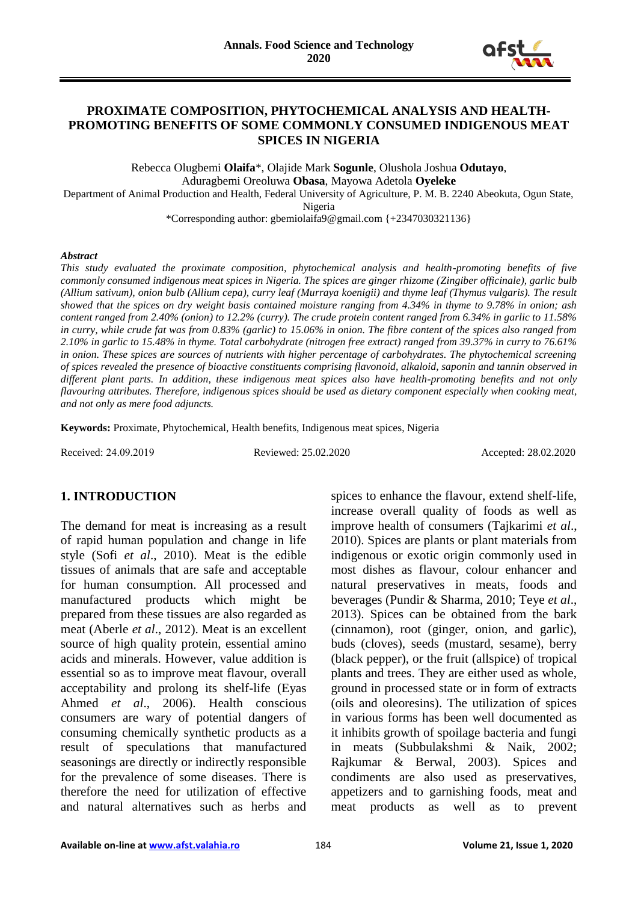

### **PROXIMATE COMPOSITION, PHYTOCHEMICAL ANALYSIS AND HEALTH-PROMOTING BENEFITS OF SOME COMMONLY CONSUMED INDIGENOUS MEAT SPICES IN NIGERIA**

Rebecca Olugbemi **Olaifa**\*, Olajide Mark **Sogunle**, Olushola Joshua **Odutayo**, Aduragbemi Oreoluwa **Obasa**, Mayowa Adetola **Oyeleke**

Department of Animal Production and Health, Federal University of Agriculture, P. M. B. 2240 Abeokuta, Ogun State,

Nigeria

\*Corresponding author: gbemiolaifa9@gmail.com {+2347030321136}

#### *Abstract*

*This study evaluated the proximate composition, phytochemical analysis and health-promoting benefits of five commonly consumed indigenous meat spices in Nigeria. The spices are ginger rhizome (Zingiber officinale), garlic bulb (Allium sativum), onion bulb (Allium cepa), curry leaf (Murraya koenigii) and thyme leaf (Thymus vulgaris). The result showed that the spices on dry weight basis contained moisture ranging from 4.34% in thyme to 9.78% in onion; ash content ranged from 2.40% (onion) to 12.2% (curry). The crude protein content ranged from 6.34% in garlic to 11.58% in curry, while crude fat was from 0.83% (garlic) to 15.06% in onion. The fibre content of the spices also ranged from 2.10% in garlic to 15.48% in thyme. Total carbohydrate (nitrogen free extract) ranged from 39.37% in curry to 76.61% in onion. These spices are sources of nutrients with higher percentage of carbohydrates. The phytochemical screening of spices revealed the presence of bioactive constituents comprising flavonoid, alkaloid, saponin and tannin observed in different plant parts. In addition, these indigenous meat spices also have health-promoting benefits and not only flavouring attributes. Therefore, indigenous spices should be used as dietary component especially when cooking meat, and not only as mere food adjuncts.*

**Keywords:** Proximate, Phytochemical, Health benefits, Indigenous meat spices, Nigeria

Received: 24.09.2019 Reviewed: 25.02.2020 Accepted: 28.02.2020

### **1. INTRODUCTION**

The demand for meat is increasing as a result of rapid human population and change in life style (Sofi *et al*., 2010). Meat is the edible tissues of animals that are safe and acceptable for human consumption. All processed and manufactured products which might be prepared from these tissues are also regarded as meat (Aberle *et al*., 2012). Meat is an excellent source of high quality protein, essential amino acids and minerals. However, value addition is essential so as to improve meat flavour, overall acceptability and prolong its shelf-life (Eyas Ahmed *et al*., 2006). Health conscious consumers are wary of potential dangers of consuming chemically synthetic products as a result of speculations that manufactured seasonings are directly or indirectly responsible for the prevalence of some diseases. There is therefore the need for utilization of effective and natural alternatives such as herbs and

spices to enhance the flavour, extend shelf-life, increase overall quality of foods as well as improve health of consumers (Tajkarimi *et al*., 2010). Spices are plants or plant materials from indigenous or exotic origin commonly used in most dishes as flavour, colour enhancer and natural preservatives in meats, foods and beverages (Pundir & Sharma, 2010; Teye *et al*., 2013). Spices can be obtained from the bark (cinnamon), root (ginger, onion, and garlic), buds (cloves), seeds (mustard, sesame), berry (black pepper), or the fruit (allspice) of tropical plants and trees. They are either used as whole, ground in processed state or in form of extracts (oils and oleoresins). The utilization of spices in various forms has been well documented as it inhibits growth of spoilage bacteria and fungi in meats (Subbulakshmi & Naik, 2002; Rajkumar & Berwal, 2003). Spices and condiments are also used as preservatives, appetizers and to garnishing foods, meat and meat products as well as to prevent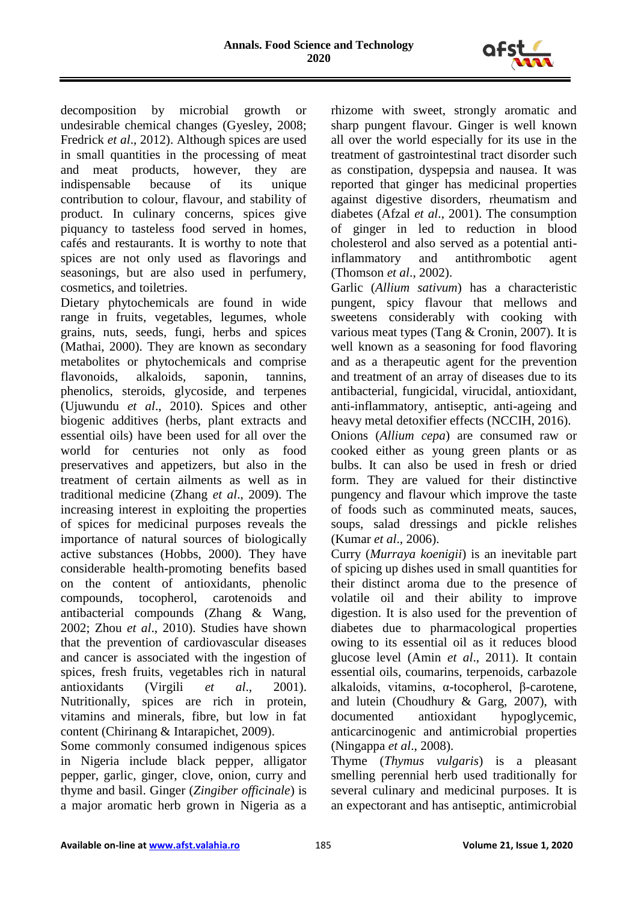

decomposition by microbial growth or undesirable chemical changes (Gyesley, 2008; Fredrick *et al*., 2012). Although spices are used in small quantities in the processing of meat and meat products, however, they are indispensable because of its unique contribution to colour, flavour, and stability of product. In culinary concerns, spices give piquancy to tasteless food served in homes, cafés and restaurants. It is worthy to note that spices are not only used as flavorings and seasonings, but are also used in perfumery, cosmetics, and toiletries.

Dietary phytochemicals are found in wide range in fruits, vegetables, legumes, whole grains, nuts, seeds, fungi, herbs and spices (Mathai, 2000). They are known as secondary metabolites or phytochemicals and comprise flavonoids, alkaloids, saponin, tannins, phenolics, steroids, glycoside, and terpenes (Ujuwundu *et al*., 2010). Spices and other biogenic additives (herbs, plant extracts and essential oils) have been used for all over the world for centuries not only as food preservatives and appetizers, but also in the treatment of certain ailments as well as in traditional medicine (Zhang *et al*., 2009). The increasing interest in exploiting the properties of spices for medicinal purposes reveals the importance of natural sources of biologically active substances (Hobbs, 2000). They have considerable health-promoting benefits based on the content of antioxidants, phenolic compounds, tocopherol, carotenoids and antibacterial compounds (Zhang & Wang, 2002; Zhou *et al*., 2010). Studies have shown that the prevention of cardiovascular diseases and cancer is associated with the ingestion of spices, fresh fruits, vegetables rich in natural antioxidants (Virgili *et al*., 2001). Nutritionally, spices are rich in protein, vitamins and minerals, fibre, but low in fat content (Chirinang & Intarapichet, 2009).

Some commonly consumed indigenous spices in Nigeria include black pepper, alligator pepper, garlic, ginger, clove, onion, curry and thyme and basil. Ginger (*Zingiber officinale*) is a major aromatic herb grown in Nigeria as a rhizome with sweet, strongly aromatic and sharp pungent flavour. Ginger is well known all over the world especially for its use in the treatment of gastrointestinal tract disorder such as constipation, dyspepsia and nausea. It was reported that ginger has medicinal properties against digestive disorders, rheumatism and diabetes (Afzal *et al*., 2001). The consumption of ginger in led to reduction in blood cholesterol and also served as a potential antiinflammatory and antithrombotic agent (Thomson *et al*., 2002).

Garlic (*Allium sativum*) has a characteristic pungent, spicy flavour that mellows and sweetens considerably with cooking with various meat types (Tang & Cronin, 2007). It is well known as a seasoning for food flavoring and as a therapeutic agent for the prevention and treatment of an array of diseases due to its antibacterial, fungicidal, virucidal, antioxidant, anti-inflammatory, antiseptic, anti-ageing and heavy metal detoxifier effects (NCCIH, 2016).

Onions (*Allium cepa*) are consumed raw or cooked either as young green plants or as bulbs. It can also be used in fresh or dried form. They are valued for their distinctive pungency and flavour which improve the taste of foods such as comminuted meats, sauces, soups, salad dressings and pickle relishes (Kumar *et al*., 2006).

Curry (*Murraya koenigii*) is an inevitable part of spicing up dishes used in small quantities for their distinct aroma due to the presence of volatile oil and their ability to improve digestion. It is also used for the prevention of diabetes due to pharmacological properties owing to its essential oil as it reduces blood glucose level (Amin *et al*., 2011). It contain essential oils, coumarins, terpenoids, carbazole alkaloids, vitamins, α-tocopherol, β-carotene, and lutein (Choudhury & Garg, 2007), with documented antioxidant hypoglycemic, anticarcinogenic and antimicrobial properties (Ningappa *et al*., 2008).

Thyme (*Thymus vulgaris*) is a pleasant smelling perennial herb used traditionally for several culinary and medicinal purposes. It is an expectorant and has antiseptic, antimicrobial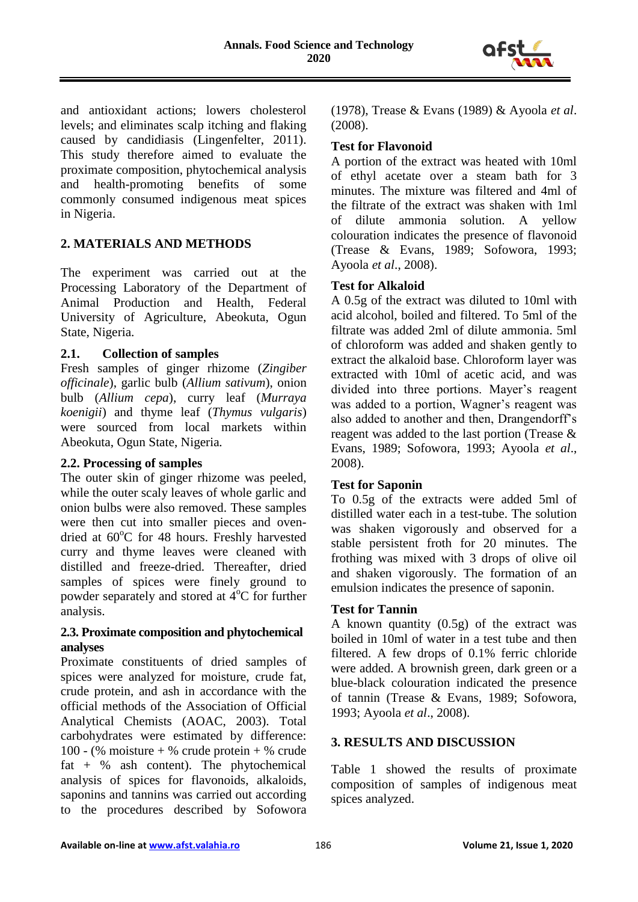

and antioxidant actions; lowers cholesterol levels; and eliminates scalp itching and flaking caused by candidiasis (Lingenfelter, 2011). This study therefore aimed to evaluate the proximate composition, phytochemical analysis and health-promoting benefits of some commonly consumed indigenous meat spices in Nigeria.

# **2. MATERIALS AND METHODS**

The experiment was carried out at the Processing Laboratory of the Department of Animal Production and Health, Federal University of Agriculture, Abeokuta, Ogun State, Nigeria.

### **2.1. Collection of samples**

Fresh samples of ginger rhizome (*Zingiber officinale*), garlic bulb (*Allium sativum*), onion bulb (*Allium cepa*), curry leaf (*Murraya koenigii*) and thyme leaf (*Thymus vulgaris*) were sourced from local markets within Abeokuta, Ogun State, Nigeria*.*

### **2.2. Processing of samples**

The outer skin of ginger rhizome was peeled, while the outer scaly leaves of whole garlic and onion bulbs were also removed. These samples were then cut into smaller pieces and ovendried at  $60^{\circ}$ C for 48 hours. Freshly harvested curry and thyme leaves were cleaned with distilled and freeze-dried. Thereafter, dried samples of spices were finely ground to powder separately and stored at  $4^{\circ}$ C for further analysis.

### **2.3. Proximate composition and phytochemical analyses**

Proximate constituents of dried samples of spices were analyzed for moisture, crude fat, crude protein, and ash in accordance with the official methods of the Association of Official Analytical Chemists (AOAC, 2003). Total carbohydrates were estimated by difference: 100 - (% moisture + % crude protein + % crude fat +  $%$  ash content). The phytochemical analysis of spices for flavonoids, alkaloids, saponins and tannins was carried out according to the procedures described by Sofowora (1978), Trease & Evans (1989) & Ayoola *et al*. (2008).

#### **Test for Flavonoid**

A portion of the extract was heated with 10ml of ethyl acetate over a steam bath for 3 minutes. The mixture was filtered and 4ml of the filtrate of the extract was shaken with 1ml of dilute ammonia solution. A yellow colouration indicates the presence of flavonoid (Trease & Evans, 1989; Sofowora, 1993; Ayoola *et al*., 2008).

#### **Test for Alkaloid**

A 0.5g of the extract was diluted to 10ml with acid alcohol, boiled and filtered. To 5ml of the filtrate was added 2ml of dilute ammonia. 5ml of chloroform was added and shaken gently to extract the alkaloid base. Chloroform layer was extracted with 10ml of acetic acid, and was divided into three portions. Mayer's reagent was added to a portion, Wagner's reagent was also added to another and then, Drangendorff's reagent was added to the last portion (Trease & Evans, 1989; Sofowora, 1993; Ayoola *et al*., 2008).

### **Test for Saponin**

To 0.5g of the extracts were added 5ml of distilled water each in a test-tube. The solution was shaken vigorously and observed for a stable persistent froth for 20 minutes. The frothing was mixed with 3 drops of olive oil and shaken vigorously. The formation of an emulsion indicates the presence of saponin.

### **Test for Tannin**

A known quantity (0.5g) of the extract was boiled in 10ml of water in a test tube and then filtered. A few drops of 0.1% ferric chloride were added. A brownish green, dark green or a blue-black colouration indicated the presence of tannin (Trease & Evans, 1989; Sofowora, 1993; Ayoola *et al*., 2008).

### **3. RESULTS AND DISCUSSION**

Table 1 showed the results of proximate composition of samples of indigenous meat spices analyzed.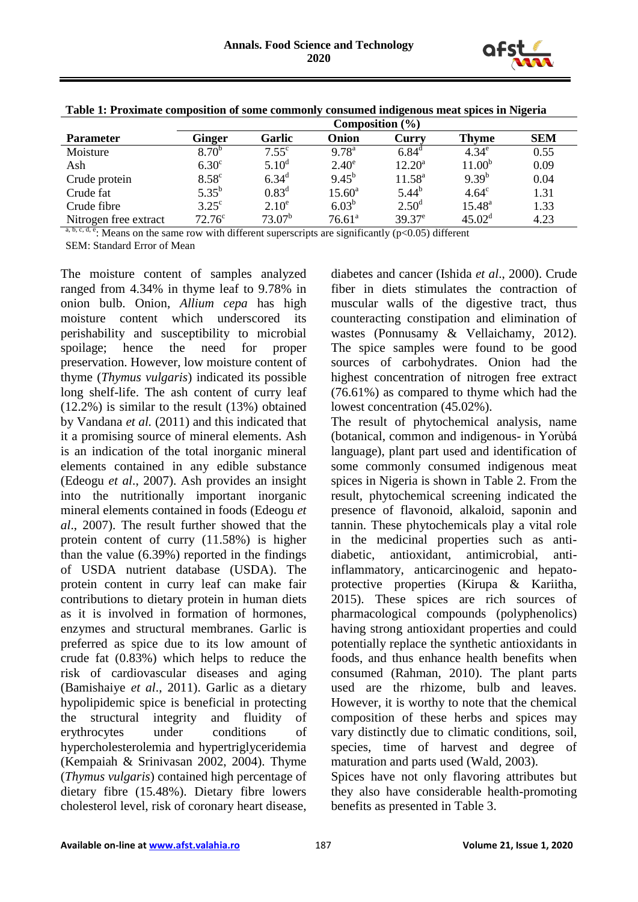

|                       | Composition $(\% )$ |                   |                 |                 |                    |            |
|-----------------------|---------------------|-------------------|-----------------|-----------------|--------------------|------------|
| <b>Parameter</b>      | Ginger              | Garlic            | Onion           | Curry           | <b>Thyme</b>       | <b>SEM</b> |
| Moisture              | 8.70 <sup>b</sup>   | $7.55^{\circ}$    | $9.78^{a}$      | $6.84^{\circ}$  | $4.34^e$           | 0.55       |
| Ash                   | 6.30 <sup>c</sup>   | $5.10^d$          | $2.40^{\circ}$  | $12.20^{\rm a}$ | 11.00 <sup>b</sup> | 0.09       |
| Crude protein         | $8.58^{\circ}$      | $6.34^{\rm d}$    | $9.45^{b}$      | $11.58^{\rm a}$ | $9.39^{b}$         | 0.04       |
| Crude fat             | $5.35^{b}$          | $0.83^d$          | $15.60^{\circ}$ | $5.44^{b}$      | $4.64^\circ$       | 1.31       |
| Crude fibre           | $3.25^{\circ}$      | 2.10 <sup>e</sup> | $6.03^{b}$      | $2.50^{\rm d}$  | $15.48^{\circ}$    | 1.33       |
| Nitrogen free extract | 72.76 <sup>c</sup>  | $73.07^b$         | $76.61^{\circ}$ | $39.37^e$       | $45.02^{\rm d}$    | 4.23       |

**Table 1: Proximate composition of some commonly consumed indigenous meat spices in Nigeria**

 $a, b, c, d, e$ : Means on the same row with different superscripts are significantly (p<0.05) different SEM: Standard Error of Mean

The moisture content of samples analyzed ranged from 4.34% in thyme leaf to 9.78% in onion bulb. Onion, *Allium cepa* has high moisture content which underscored its perishability and susceptibility to microbial spoilage; hence the need for proper preservation. However, low moisture content of thyme (*Thymus vulgaris*) indicated its possible long shelf-life. The ash content of curry leaf (12.2%) is similar to the result (13%) obtained by Vandana *et al.* (2011) and this indicated that it a promising source of mineral elements. Ash is an indication of the total inorganic mineral elements contained in any edible substance (Edeogu *et al*., 2007). Ash provides an insight into the nutritionally important inorganic mineral elements contained in foods (Edeogu *et al*., 2007). The result further showed that the protein content of curry (11.58%) is higher than the value (6.39%) reported in the findings of USDA nutrient database (USDA). The protein content in curry leaf can make fair contributions to dietary protein in human diets as it is involved in formation of hormones, enzymes and structural membranes. Garlic is preferred as spice due to its low amount of crude fat (0.83%) which helps to reduce the risk of cardiovascular diseases and aging (Bamishaiye *et al*., 2011). Garlic as a dietary hypolipidemic spice is beneficial in protecting the structural integrity and fluidity of erythrocytes under conditions of hypercholesterolemia and hypertriglyceridemia (Kempaiah & Srinivasan 2002, 2004). Thyme (*Thymus vulgaris*) contained high percentage of dietary fibre (15.48%). Dietary fibre lowers cholesterol level, risk of coronary heart disease,

diabetes and cancer (Ishida *et al*., 2000). Crude fiber in diets stimulates the contraction of muscular walls of the digestive tract, thus counteracting constipation and elimination of wastes (Ponnusamy & Vellaichamy, 2012). The spice samples were found to be good sources of carbohydrates. Onion had the highest concentration of nitrogen free extract (76.61%) as compared to thyme which had the lowest concentration (45.02%).

The result of phytochemical analysis, name (botanical, common and indigenous- in Yorùbá language), plant part used and identification of some commonly consumed indigenous meat spices in Nigeria is shown in Table 2. From the result, phytochemical screening indicated the presence of flavonoid, alkaloid, saponin and tannin. These phytochemicals play a vital role in the medicinal properties such as antidiabetic, antioxidant, antimicrobial, antiinflammatory, anticarcinogenic and hepatoprotective properties (Kirupa & Kariitha, 2015). These spices are rich sources of pharmacological compounds (polyphenolics) having strong antioxidant properties and could potentially replace the synthetic antioxidants in foods, and thus enhance health benefits when consumed (Rahman, 2010). The plant parts used are the rhizome, bulb and leaves. However, it is worthy to note that the chemical composition of these herbs and spices may vary distinctly due to climatic conditions, soil, species, time of harvest and degree of maturation and parts used (Wald, 2003).

Spices have not only flavoring attributes but they also have considerable health-promoting benefits as presented in Table 3.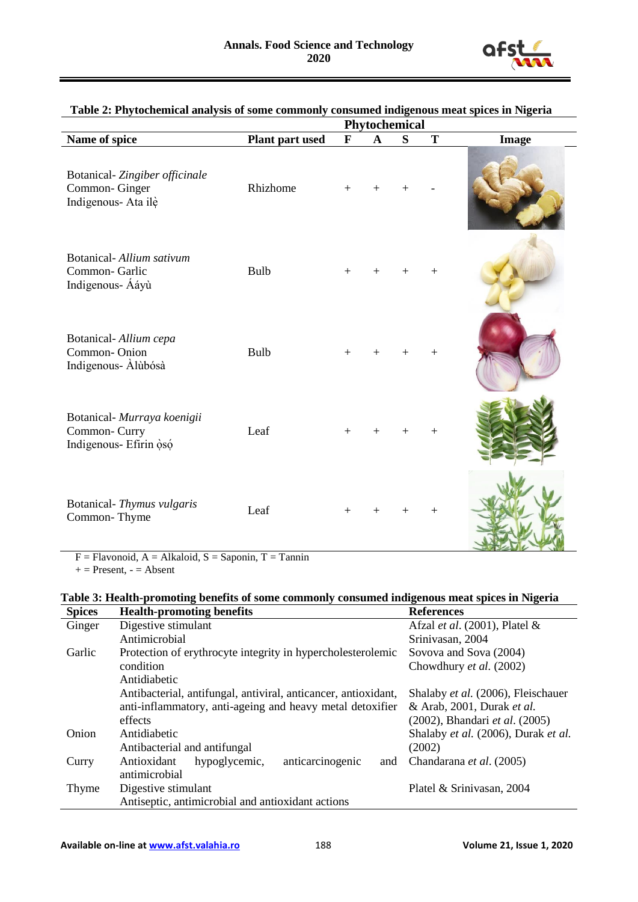

|                                                                       |                 | Phytochemical |              |   |        |       |
|-----------------------------------------------------------------------|-----------------|---------------|--------------|---|--------|-------|
| Name of spice                                                         | Plant part used | $\mathbf{F}$  | $\mathbf{A}$ | S | T      | Image |
| Botanical-Zingiber officinale<br>Common-Ginger<br>Indigenous- Ata ilè | Rhizhome        | $+$           |              |   |        |       |
| Botanical-Allium sativum<br>Common-Garlic<br>Indigenous- Ááyù         | Bulb            | $+$           |              |   |        |       |
| Botanical-Allium cepa<br>Common-Onion<br>Indigenous- Alùbósà          | Bulb            | $+$           | $+$          |   | $^{+}$ |       |
| Botanical- Murraya koenigii<br>Common-Curry<br>Indigenous- Efirin oso | Leaf            | $+$           | $^+$         |   |        |       |
| Botanical-Thymus vulgaris<br>Common-Thyme                             | Leaf            | $+$           |              |   | $\, +$ |       |

#### **Table 2: Phytochemical analysis of some commonly consumed indigenous meat spices in Nigeria**

 $F = Flavonoid, A = Alkaloid, S = Saponin, T = Tannin$ 

 $+=$  Present,  $-$  = Absent

# **Table 3: Health-promoting benefits of some commonly consumed indigenous meat spices in Nigeria**

| <b>Spices</b> | <b>Health-promoting benefits</b>                               | <b>References</b>                   |  |  |
|---------------|----------------------------------------------------------------|-------------------------------------|--|--|
| Ginger        | Digestive stimulant                                            | Afzal et al. (2001), Platel &       |  |  |
|               | Antimicrobial                                                  | Srinivasan, 2004                    |  |  |
| Garlic        | Protection of erythrocyte integrity in hypercholesterolemic    | Sovova and Sova (2004)              |  |  |
|               | condition                                                      | Chowdhury et al. (2002)             |  |  |
|               | Antidiabetic                                                   |                                     |  |  |
|               | Antibacterial, antifungal, antiviral, anticancer, antioxidant, | Shalaby et al. (2006), Fleischauer  |  |  |
|               | anti-inflammatory, anti-ageing and heavy metal detoxifier      | & Arab, 2001, Durak et al.          |  |  |
|               | effects                                                        | (2002), Bhandari et al. (2005)      |  |  |
| Onion         | Antidiabetic                                                   | Shalaby et al. (2006), Durak et al. |  |  |
|               | Antibacterial and antifungal                                   | (2002)                              |  |  |
| Curry         | Antioxidant<br>anticarcinogenic<br>hypoglycemic,<br>and        | Chandarana et al. (2005)            |  |  |
|               | antimicrobial                                                  |                                     |  |  |
| Thyme         | Digestive stimulant                                            | Platel & Srinivasan, 2004           |  |  |
|               | Antiseptic, antimicrobial and antioxidant actions              |                                     |  |  |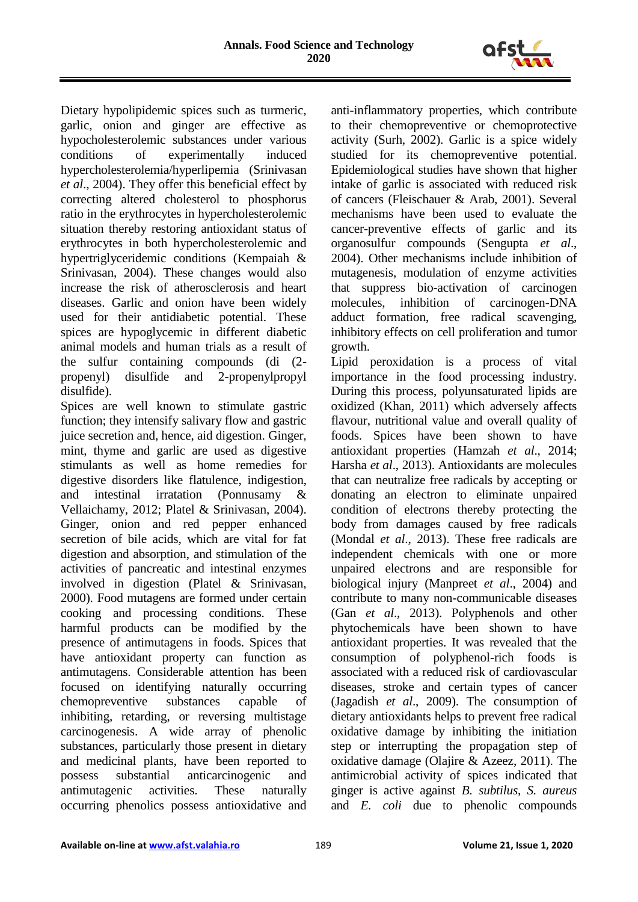

Dietary hypolipidemic spices such as turmeric, garlic, onion and ginger are effective as hypocholesterolemic substances under various conditions of experimentally induced hypercholesterolemia/hyperlipemia (Srinivasan *et al*., 2004). They offer this beneficial effect by correcting altered cholesterol to phosphorus ratio in the erythrocytes in hypercholesterolemic situation thereby restoring antioxidant status of erythrocytes in both hypercholesterolemic and hypertriglyceridemic conditions (Kempaiah & Srinivasan, 2004). These changes would also increase the risk of atherosclerosis and heart diseases. Garlic and onion have been widely used for their antidiabetic potential. These spices are hypoglycemic in different diabetic animal models and human trials as a result of the sulfur containing compounds (di (2 propenyl) disulfide and 2-propenylpropyl disulfide).

Spices are well known to stimulate gastric function; they intensify salivary flow and gastric juice secretion and, hence, aid digestion. Ginger, mint, thyme and garlic are used as digestive stimulants as well as home remedies for digestive disorders like flatulence, indigestion, and intestinal irratation (Ponnusamy & Vellaichamy, 2012; Platel & Srinivasan, 2004). Ginger, onion and red pepper enhanced secretion of bile acids, which are vital for fat digestion and absorption, and stimulation of the activities of pancreatic and intestinal enzymes involved in digestion (Platel & Srinivasan, 2000). Food mutagens are formed under certain cooking and processing conditions. These harmful products can be modified by the presence of antimutagens in foods. Spices that have antioxidant property can function as antimutagens. Considerable attention has been focused on identifying naturally occurring chemopreventive substances capable of inhibiting, retarding, or reversing multistage carcinogenesis. A wide array of phenolic substances, particularly those present in dietary and medicinal plants, have been reported to possess substantial anticarcinogenic and antimutagenic activities. These naturally occurring phenolics possess antioxidative and

anti-inflammatory properties, which contribute to their chemopreventive or chemoprotective activity (Surh, 2002). Garlic is a spice widely studied for its chemopreventive potential. Epidemiological studies have shown that higher intake of garlic is associated with reduced risk of cancers (Fleischauer & Arab, 2001). Several mechanisms have been used to evaluate the cancer-preventive effects of garlic and its organosulfur compounds (Sengupta *et al*., 2004). Other mechanisms include inhibition of mutagenesis, modulation of enzyme activities that suppress bio-activation of carcinogen molecules, inhibition of carcinogen-DNA adduct formation, free radical scavenging, inhibitory effects on cell proliferation and tumor growth.

Lipid peroxidation is a process of vital importance in the food processing industry. During this process, polyunsaturated lipids are oxidized (Khan, 2011) which adversely affects flavour, nutritional value and overall quality of foods. Spices have been shown to have antioxidant properties (Hamzah *et al*., 2014; Harsha *et al*., 2013). Antioxidants are molecules that can neutralize free radicals by accepting or donating an electron to eliminate unpaired condition of electrons thereby protecting the body from damages caused by free radicals (Mondal *et al*., 2013). These free radicals are independent chemicals with one or more unpaired electrons and are responsible for biological injury (Manpreet *et al*., 2004) and contribute to many non-communicable diseases (Gan *et al*., 2013). Polyphenols and other phytochemicals have been shown to have antioxidant properties. It was revealed that the consumption of polyphenol-rich foods is associated with a reduced risk of cardiovascular diseases, stroke and certain types of cancer (Jagadish *et al*., 2009). The consumption of dietary antioxidants helps to prevent free radical oxidative damage by inhibiting the initiation step or interrupting the propagation step of oxidative damage (Olajire & Azeez, 2011). The antimicrobial activity of spices indicated that ginger is active against *B. subtilus*, *S. aureus* and *E. coli* due to phenolic compounds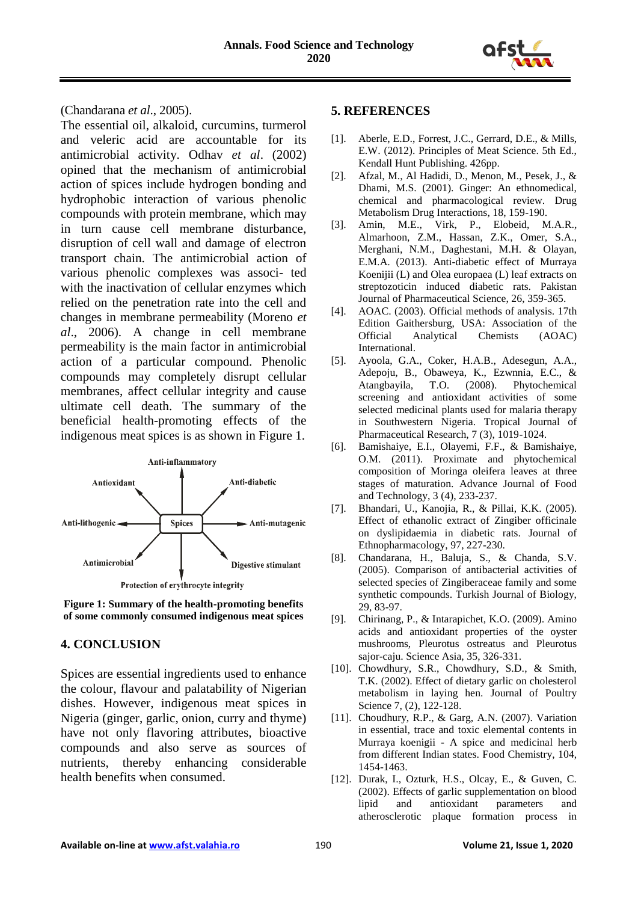

(Chandarana *et al*., 2005).

The essential oil, alkaloid, curcumins, turmerol and veleric acid are accountable for its antimicrobial activity. Odhav *et al*. (2002) opined that the mechanism of antimicrobial action of spices include hydrogen bonding and hydrophobic interaction of various phenolic compounds with protein membrane, which may in turn cause cell membrane disturbance, disruption of cell wall and damage of electron transport chain. The antimicrobial action of various phenolic complexes was associ- ted with the inactivation of cellular enzymes which relied on the penetration rate into the cell and changes in membrane permeability (Moreno *et al*., 2006). A change in cell membrane permeability is the main factor in antimicrobial action of a particular compound. Phenolic compounds may completely disrupt cellular membranes, affect cellular integrity and cause ultimate cell death. The summary of the beneficial health-promoting effects of the indigenous meat spices is as shown in Figure 1.



**Figure 1: Summary of the health-promoting benefits of some commonly consumed indigenous meat spices**

# **4. CONCLUSION**

Spices are essential ingredients used to enhance the colour, flavour and palatability of Nigerian dishes. However, indigenous meat spices in Nigeria (ginger, garlic, onion, curry and thyme) have not only flavoring attributes, bioactive compounds and also serve as sources of nutrients, thereby enhancing considerable health benefits when consumed.

### **5. REFERENCES**

- [1]. Aberle, E.D., Forrest, J.C., Gerrard, D.E., & Mills, E.W. (2012). Principles of Meat Science. 5th Ed., Kendall Hunt Publishing. 426pp.
- [2]. Afzal, M., Al Hadidi, D., Menon, M., Pesek, J., & Dhami, M.S. (2001). Ginger: An ethnomedical, chemical and pharmacological review. Drug Metabolism Drug Interactions, 18, 159-190.
- [3]. Amin, M.E., Virk, P., Elobeid, M.A.R., Almarhoon, Z.M., Hassan, Z.K., Omer, S.A., Merghani, N.M., Daghestani, M.H. & Olayan, E.M.A. (2013). Anti-diabetic effect of Murraya Koenijii (L) and Olea europaea (L) leaf extracts on streptozoticin induced diabetic rats. Pakistan Journal of Pharmaceutical Science, 26, 359-365.
- [4]. AOAC. (2003). Official methods of analysis. 17th Edition Gaithersburg, USA: Association of the Official Analytical Chemists (AOAC) International.
- [5]. Ayoola, G.A., Coker, H.A.B., Adesegun, A.A., Adepoju, B., Obaweya, K., Ezwnnia, E.C., & Atangbayila, T.O. (2008). Phytochemical screening and antioxidant activities of some selected medicinal plants used for malaria therapy in Southwestern Nigeria. Tropical Journal of Pharmaceutical Research, 7 (3), 1019-1024.
- [6]. Bamishaiye, E.I., Olayemi, F.F., & Bamishaiye, O.M. (2011). Proximate and phytochemical composition of Moringa oleifera leaves at three stages of maturation. Advance Journal of Food and Technology, 3 (4), 233-237.
- [7]. Bhandari, U., Kanojia, R., & Pillai, K.K. (2005). Effect of ethanolic extract of Zingiber officinale on dyslipidaemia in diabetic rats. Journal of Ethnopharmacology, 97, 227-230.
- [8]. Chandarana, H., Baluja, S., & Chanda, S.V. (2005). Comparison of antibacterial activities of selected species of Zingiberaceae family and some synthetic compounds. Turkish Journal of Biology, 29, 83-97.
- [9]. Chirinang, P., & Intarapichet, K.O. (2009). Amino acids and antioxidant properties of the oyster mushrooms, Pleurotus ostreatus and Pleurotus sajor-caju. Science Asia, 35, 326-331.
- [10]. Chowdhury, S.R., Chowdhury, S.D., & Smith, T.K. (2002). Effect of dietary garlic on cholesterol metabolism in laying hen. Journal of Poultry Science 7, (2), 122-128.
- [11]. Choudhury, R.P., & Garg, A.N. (2007). Variation in essential, trace and toxic elemental contents in Murraya koenigii - A spice and medicinal herb from different Indian states. Food Chemistry, 104, 1454-1463.
- [12]. Durak, I., Ozturk, H.S., Olcay, E., & Guven, C. (2002). Effects of garlic supplementation on blood lipid and antioxidant parameters and atherosclerotic plaque formation process in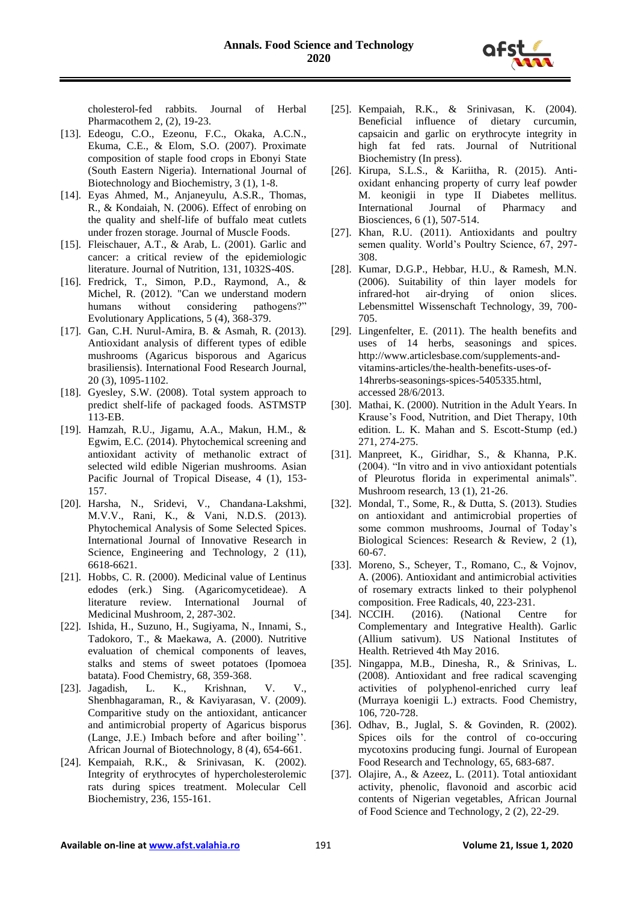

cholesterol-fed rabbits. Journal of Herbal Pharmacothem 2, (2), 19-23.

- [13]. Edeogu, C.O., Ezeonu, F.C., Okaka, A.C.N., Ekuma, C.E., & Elom, S.O. (2007). Proximate composition of staple food crops in Ebonyi State (South Eastern Nigeria). International Journal of Biotechnology and Biochemistry, 3 (1), 1-8.
- [14]. Eyas Ahmed, M., Anjaneyulu, A.S.R., Thomas, R., & Kondaiah, N. (2006). Effect of enrobing on the quality and shelf-life of buffalo meat cutlets under frozen storage. Journal of Muscle Foods.
- [15]. Fleischauer, A.T., & Arab, L. (2001). Garlic and cancer: a critical review of the epidemiologic literature. Journal of Nutrition, 131, 1032S-40S.
- [16]. Fredrick, T., Simon, P.D., Raymond, A., & Michel, R. (2012). "Can we understand modern humans without considering pathogens?" Evolutionary Applications, 5 (4), 368-379.
- [17]. Gan, C.H. Nurul-Amira, B. & Asmah, R. (2013). Antioxidant analysis of different types of edible mushrooms (Agaricus bisporous and Agaricus brasiliensis). International Food Research Journal, 20 (3), 1095-1102.
- [18]. Gyesley, S.W. (2008). Total system approach to predict shelf-life of packaged foods. ASTMSTP 113-EB.
- [19]. Hamzah, R.U., Jigamu, A.A., Makun, H.M., & Egwim, E.C. (2014). Phytochemical screening and antioxidant activity of methanolic extract of selected wild edible Nigerian mushrooms. Asian Pacific Journal of Tropical Disease, 4 (1), 153- 157.
- [20]. Harsha, N., Sridevi, V., Chandana-Lakshmi, M.V.V., Rani, K., & Vani, N.D.S. (2013). Phytochemical Analysis of Some Selected Spices. International Journal of Innovative Research in Science, Engineering and Technology, 2 (11), 6618-6621.
- [21]. Hobbs, C. R. (2000). Medicinal value of Lentinus edodes (erk.) Sing. (Agaricomycetideae). A literature review. International Journal of Medicinal Mushroom, 2, 287-302.
- [22]. Ishida, H., Suzuno, H., Sugiyama, N., Innami, S., Tadokoro, T., & Maekawa, A. (2000). Nutritive evaluation of chemical components of leaves, stalks and stems of sweet potatoes (Ipomoea batata). Food Chemistry, 68, 359-368.
- [23]. Jagadish, L. K., Krishnan, V. V., Shenbhagaraman, R., & Kaviyarasan, V. (2009). Comparitive study on the antioxidant, anticancer and antimicrobial property of Agaricus bisporus (Lange, J.E.) Imbach before and after boiling''. African Journal of Biotechnology, 8 (4), 654-661.
- [24]. Kempaiah, R.K., & Srinivasan, K. (2002). Integrity of erythrocytes of hypercholesterolemic rats during spices treatment. Molecular Cell Biochemistry, 236, 155-161.
- [25]. Kempaiah, R.K., & Srinivasan, K. (2004). Beneficial influence of dietary curcumin, capsaicin and garlic on erythrocyte integrity in high fat fed rats. Journal of Nutritional Biochemistry (In press).
- [26]. Kirupa, S.L.S., & Kariitha, R. (2015). Antioxidant enhancing property of curry leaf powder M. keonigii in type II Diabetes mellitus. International Journal of Pharmacy and Biosciences, 6 (1), 507-514.
- [27]. Khan, R.U. (2011). Antioxidants and poultry semen quality. World's Poultry Science, 67, 297- 308.
- [28]. Kumar, D.G.P., Hebbar, H.U., & Ramesh, M.N. (2006). Suitability of thin layer models for infrared-hot air-drying of onion slices. Lebensmittel Wissenschaft Technology, 39, 700- 705.
- [29]. Lingenfelter, E. (2011). The health benefits and uses of 14 herbs, seasonings and spices. http://www.articlesbase.com/supplements-andvitamins-articles/the-health-benefits-uses-of-14hrerbs-seasonings-spices-5405335.html, accessed 28/6/2013.
- [30]. Mathai, K. (2000). Nutrition in the Adult Years. In Krause's Food, Nutrition, and Diet Therapy, 10th edition. L. K. Mahan and S. Escott-Stump (ed.) 271, 274-275.
- [31]. Manpreet, K., Giridhar, S., & Khanna, P.K. (2004). "In vitro and in vivo antioxidant potentials of Pleurotus florida in experimental animals". Mushroom research, 13 (1), 21-26.
- [32]. Mondal, T., Some, R., & Dutta, S. (2013). Studies on antioxidant and antimicrobial properties of some common mushrooms, Journal of Today's Biological Sciences: Research & Review, 2 (1), 60-67.
- [33]. Moreno, S., Scheyer, T., Romano, C., & Vojnov, A. (2006). Antioxidant and antimicrobial activities of rosemary extracts linked to their polyphenol composition. Free Radicals, 40, 223-231.
- [34]. NCCIH. (2016). (National Centre for Complementary and Integrative Health). Garlic (Allium sativum). US National Institutes of Health. Retrieved 4th May 2016.
- [35]. Ningappa, M.B., Dinesha, R., & Srinivas, L. (2008). Antioxidant and free radical scavenging activities of polyphenol-enriched curry leaf (Murraya koenigii L.) extracts. Food Chemistry, 106, 720-728.
- [36]. Odhav, B., Juglal, S. & Govinden, R. (2002). Spices oils for the control of co-occuring mycotoxins producing fungi. Journal of European Food Research and Technology, 65, 683-687.
- [37]. Olajire, A., & Azeez, L. (2011). Total antioxidant activity, phenolic, flavonoid and ascorbic acid contents of Nigerian vegetables, African Journal of Food Science and Technology, 2 (2), 22-29.